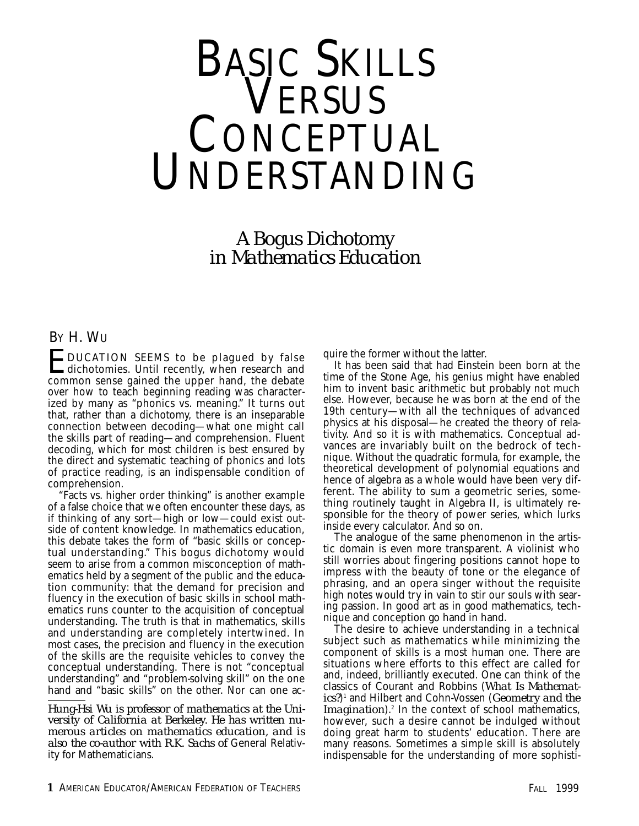# BASIC SKILLS VERSUS

## CEPTUAL DERSTANDING

### *A Bogus Dichotomy in Mathematics Education*

#### BY H. WU

**E** DUCATION SEEMS to be plagued by false<br>dichotomies. Until recently, when research and common sense gained the upper hand, the debate over how to teach beginning reading was characterized by many as "phonics vs. meaning." It turns out that, rather than a dichotomy, there is an inseparable connection between decoding—what one might call the skills part of reading—and comprehension. Fluent decoding, which for most children is best ensured by the direct and systematic teaching of phonics and lots of practice reading, is an indispensable condition of comprehension.

"Facts vs. higher order thinking" is another example of a false choice that we often encounter these days, as if thinking of any sort—high or low—could exist outside of content knowledge. In mathematics education, this debate takes the form of "basic skills or conceptual understanding." This bogus dichotomy would seem to arise from a common misconception of mathematics held by a segment of the public and the education community: that the demand for precision and fluency in the execution of basic skills in school mathematics runs counter to the acquisition of conceptual understanding. The truth is that in mathematics, skills and understanding are completely intertwined. In most cases, the precision and fluency in the execution of the skills are the requisite vehicles to convey the conceptual understanding. There is not "conceptual understanding" and "problem-solving skill" on the one hand and "basic skills" on the other. Nor can one ac-

*Hung-Hsi Wu is professor of mathematics at the University of California at Berkeley. He has written numerous articles on mathematics education, and is also the co-author with R.K. Sachs of* General Relativity for Mathematicians.

quire the former without the latter.

It has been said that had Einstein been born at the time of the Stone Age, his genius might have enabled him to invent basic arithmetic but probably not much else. However, because he was born at the end of the 19th century—with all the techniques of advanced physics at his disposal—he created the theory of relativity. And so it is with mathematics. Conceptual advances are invariably built on the bedrock of technique. Without the quadratic formula, for example, the theoretical development of polynomial equations and hence of algebra as a whole would have been very different. The ability to sum a geometric series, something routinely taught in Algebra II, is ultimately responsible for the theory of power series, which lurks inside every calculator. And so on.

The analogue of the same phenomenon in the artistic domain is even more transparent. A violinist who still worries about fingering positions cannot hope to impress with the beauty of tone or the elegance of phrasing, and an opera singer without the requisite high notes would try in vain to stir our souls with searing passion. In good art as in good mathematics, technique and conception go hand in hand.

The desire to achieve understanding in a technical subject such as mathematics while minimizing the component of skills is a most human one. There are situations where efforts to this effect are called for and, indeed, brilliantly executed. One can think of the classics of Courant and Robbins (*What Is Mathematics?*)1 and Hilbert and Cohn-Vossen (*Geometry and the Imagination*).<sup>2</sup> In the context of school mathematics, however, such a desire cannot be indulged without doing great harm to students' education. There are many reasons. Sometimes a simple skill is absolutely indispensable for the understanding of more sophisti-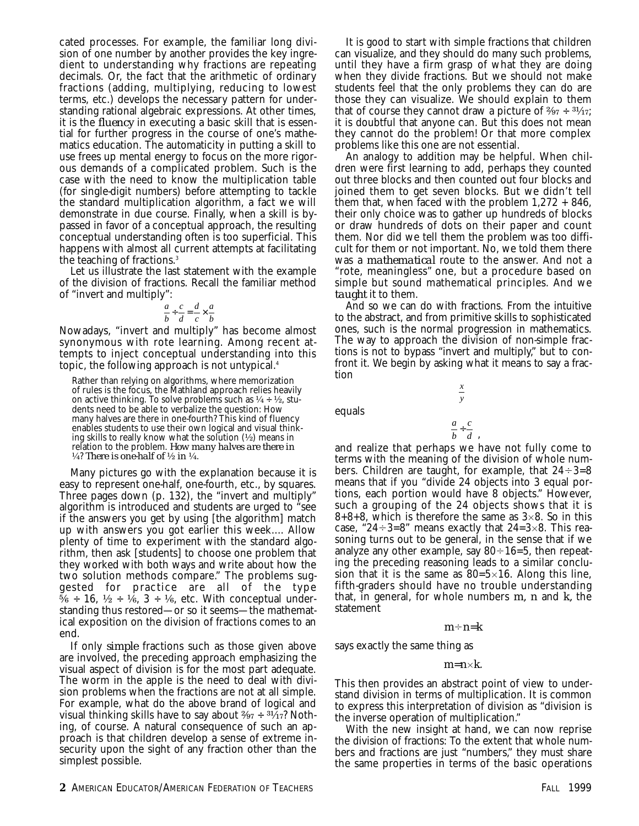cated processes. For example, the familiar long division of one number by another provides the key ingredient to understanding why fractions are repeating decimals. Or, the fact that the arithmetic of ordinary fractions (adding, multiplying, reducing to lowest terms, etc.) develops the necessary pattern for understanding rational algebraic expressions. At other times, it is the *fluency* in executing a basic skill that is essential for further progress in the course of one's mathematics education. The automaticity in putting a skill to use frees up mental energy to focus on the more rigorous demands of a complicated problem. Such is the case with the need to know the multiplication table (for single-digit numbers) before attempting to tackle the standard multiplication algorithm, a fact we will demonstrate in due course. Finally, when a skill is bypassed in favor of a conceptual approach, the resulting conceptual understanding often is too superficial. This happens with almost all current attempts at facilitating the teaching of fractions.<sup>3</sup>

Let us illustrate the last statement with the example of the division of fractions. Recall the familiar method of "invert and multiply":

$$
\frac{a}{b} \div \frac{c}{d} = \frac{d}{c} \times \frac{a}{b}
$$

Nowadays, "invert and multiply" has become almost synonymous with rote learning. Among recent attempts to inject conceptual understanding into this topic, the following approach is not untypical.4

Rather than relying on algorithms, where memorization of rules is the focus, the Mathland approach relies heavily on active thinking. To solve problems such as  $\frac{1}{4} \div \frac{1}{2}$ , students need to be able to verbalize the question: How many halves are there in one-fourth? This kind of fluency enables students to use their own logical and visual thinking skills to really know what the solution  $(½)$  means in relation to the problem. *How many halves are there in*  $\frac{1}{4}$ ? *There is one-half of*  $\frac{1}{2}$  *in*  $\frac{1}{4}$ .

Many pictures go with the explanation because it is easy to represent one-half, one-fourth, etc., by squares. Three pages down (p. 132), the "invert and multiply" algorithm is introduced and students are urged to "see if the answers you get by using [the algorithm] match up with answers you got earlier this week.... Allow plenty of time to experiment with the standard algorithm, then ask [students] to choose one problem that they worked with both ways and write about how the two solution methods compare." The problems suggested for practice are all of the type  $\frac{5}{6}$  ÷ 16,  $\frac{1}{2}$  ÷  $\frac{1}{6}$ , 3 ÷  $\frac{1}{6}$ , etc. With conceptual understanding thus restored—or so it seems—the mathematical exposition on the division of fractions comes to an end.

If only *simple* fractions such as those given above are involved, the preceding approach emphasizing the visual aspect of division is for the most part adequate. The worm in the apple is the need to deal with division problems when the fractions are not at all simple. For example, what do the above brand of logical and visual thinking skills have to say about  $\frac{2}{97} \div \frac{31}{17}$ ? Nothing, of course. A natural consequence of such an approach is that children develop a sense of extreme insecurity upon the sight of any fraction other than the simplest possible.

It is good to start with simple fractions that children can visualize, and they should do many such problems, until they have a firm grasp of what they are doing when they divide fractions. But we should not make students feel that the only problems they can do are those they can visualize. We should explain to them that of course they cannot draw a picture of  $\frac{2}{97} \div \frac{31}{17}$ ; it is doubtful that anyone can. But this does not mean they cannot do the problem! Or that more complex problems like this one are not essential.

An analogy to addition may be helpful. When children were first learning to add, perhaps they counted out three blocks and then counted out four blocks and joined them to get seven blocks. But we didn't tell them that, when faced with the problem  $1,272 + 846$ , their only choice was to gather up hundreds of blocks or draw hundreds of dots on their paper and count them. Nor did we tell them the problem was too difficult for them or not important. No, we told them there was a *mathematical* route to the answer. And not a "rote, meaningless" one, but a procedure based on simple but sound mathematical principles. And we *taught* it to them.

And so we can do with fractions. From the intuitive to the abstract, and from primitive skills to sophisticated ones, such is the normal progression in mathematics. The way to approach the division of non-simple fractions is not to bypass "invert and multiply," but to confront it. We begin by asking what it means to say a fraction

equals

*a b*  $\frac{c}{d}$ 

*x y*

,

and realize that perhaps we have not fully come to terms with the meaning of the division of whole numbers. Children are taught, for example, that  $24 \div 3=8$ means that if you "divide 24 objects into 3 equal portions, each portion would have 8 objects." However, such a grouping of the 24 objects shows that it is 8+8+8, which is therefore the same as  $3\times8$ . So in this case, "24  $\div$ 3=8" means exactly that 24=3×8. This reasoning turns out to be general, in the sense that if we analyze any other example, say  $80 \div 16=5$ , then repeating the preceding reasoning leads to a similar conclusion that it is the same as  $80=5\times16$ . Along this line, fifth-graders should have no trouble understanding that, in general, for whole numbers *m, n* and *k,* the statement

*m*4*n=k*

says exactly the same thing as

 $m=n\times k$ .

This then provides an abstract point of view to understand division in terms of multiplication. It is common to express this interpretation of division as "division is the inverse operation of multiplication."

With the new insight at hand, we can now reprise the division of fractions: To the extent that whole numbers and fractions are just "numbers," they must share the same properties in terms of the basic operations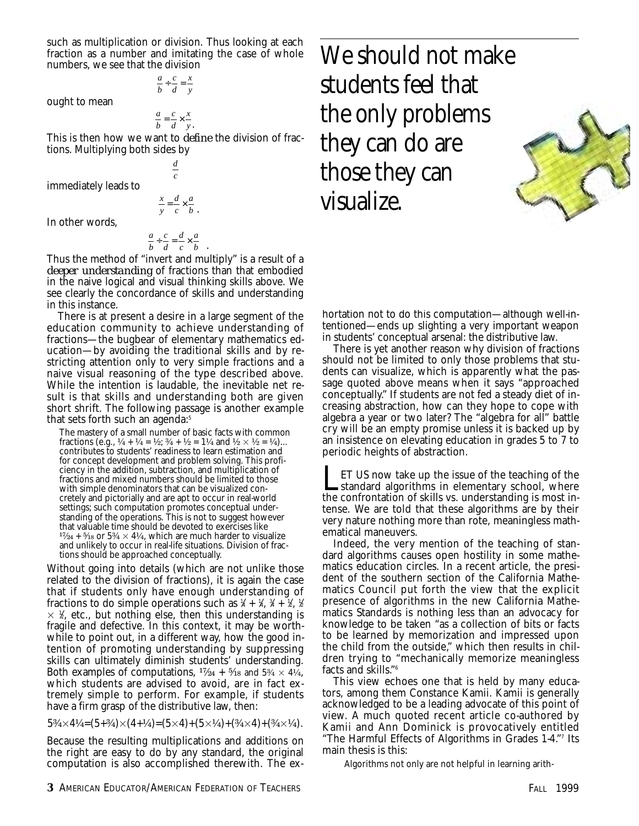such as multiplication or division. Thus looking at each fraction as a number and imitating the case of whole numbers, we see that the division

> *a b c d*  $\frac{c}{d} = \frac{x}{y}$

ought to mean

$$
\frac{a}{b} = \frac{c}{d} \times \frac{x}{y}.
$$

This is then how we want to *define* the division of fractions. Multiplying both sides by *d*

*c*

immediately leads to

$$
\frac{x}{y} = \frac{d}{c} \times \frac{a}{b} \ .
$$

In other words,

$$
\frac{a}{b} \div \frac{c}{d} = \frac{d}{c} \times \frac{a}{b}
$$

.

Thus the method of "invert and multiply" is a result of a *deeper understanding* of fractions than that embodied in the naive logical and visual thinking skills above. We see clearly the concordance of skills and understanding in this instance.

There is at present a desire in a large segment of the education community to achieve understanding of fractions—the bugbear of elementary mathematics education—by avoiding the traditional skills and by restricting attention only to very simple fractions and a naive visual reasoning of the type described above. While the intention is laudable, the inevitable net result is that skills and understanding both are given short shrift. The following passage is another example that sets forth such an agenda:<sup>5</sup>

The mastery of a small number of basic facts with common fractions (e.g.,  $\frac{1}{4} + \frac{1}{4} = \frac{1}{2}$ ;  $\frac{3}{4} + \frac{1}{2} = 1\frac{1}{4}$  and  $\frac{1}{2} \times \frac{1}{2} = \frac{1}{4}$ )... contributes to students' readiness to learn estimation and for concept development and problem solving. This proficiency in the addition, subtraction, and multiplication of fractions and mixed numbers should be limited to those with simple denominators that can be visualized concretely and pictorially and are apt to occur in real-world settings; such computation promotes conceptual understanding of the operations. This is not to suggest however that valuable time should be devoted to exercises like  $17/24 + 5/18$  or  $5\frac{3}{4} \times 4\frac{1}{4}$ , which are much harder to visualize and unlikely to occur in real-life situations. Division of fractions should be approached conceptually.

Without going into details (which are not unlike those related to the division of fractions), it is again the case that if students only have enough understanding of fractions to do simple operations such as  $4^{\prime}$  +  $4^{\prime}$ ,  $3^{\prime}$  +  $4^{\prime}$ ,  $3^{\prime}$  $\times$  ½, etc., but nothing else, then this understanding is fragile and defective. In this context, it may be worthwhile to point out, in a different way, how the good intention of promoting understanding by suppressing skills can ultimately diminish students' understanding. Both examples of computations,  $\frac{17}{24} + \frac{5}{18}$  and  $\frac{53}{4} \times \frac{41}{4}$ , which students are advised to avoid, are in fact extremely simple to perform. For example, if students have a firm grasp of the distributive law, then:

#### $5\frac{3}{4}\times4\frac{1}{4}=(5+\frac{3}{4})\times(4+\frac{1}{4})=(5\times4)+(5\times\frac{1}{4})+(3\frac{4}{4}\times4)+(3\frac{4}{4}\times\frac{1}{4}).$

Because the resulting multiplications and additions on the right are easy to do by any standard, the original computation is also accomplished therewith. The exWe should not make students feel that the only problems they can do are those they can visualize.



hortation not to do this computation—although well-intentioned—ends up slighting a very important weapon in students' conceptual arsenal: the distributive law.

There is yet another reason why division of fractions should not be limited to only those problems that students can visualize, which is apparently what the passage quoted above means when it says "approached conceptually." If students are not fed a steady diet of increasing abstraction, how can they hope to cope with algebra a year or two later? The "algebra for all" battle cry will be an empty promise unless it is backed up by an insistence on elevating education in grades 5 to 7 to periodic heights of abstraction.

**LET US now take up the issue of the teaching of the standard algorithms in elementary school, where** the confrontation of skills vs. understanding is most intense. We are told that these algorithms are by their very nature nothing more than rote, meaningless mathematical maneuvers.

Indeed, the very mention of the teaching of standard algorithms causes open hostility in some mathematics education circles. In a recent article, the president of the southern section of the California Mathematics Council put forth the view that the explicit presence of algorithms in the new California Mathematics Standards is nothing less than an advocacy for knowledge to be taken "as a collection of bits or facts to be learned by memorization and impressed upon the child from the outside," which then results in children trying to "mechanically memorize meaningless facts and skills."6

This view echoes one that is held by many educators, among them Constance Kamii. Kamii is generally acknowledged to be a leading advocate of this point of view. A much quoted recent article co-authored by Kamii and Ann Dominick is provocatively entitled "The Harmful Effects of Algorithms in Grades 1-4."7 Its main thesis is this:

Algorithms not only are not helpful in learning arith-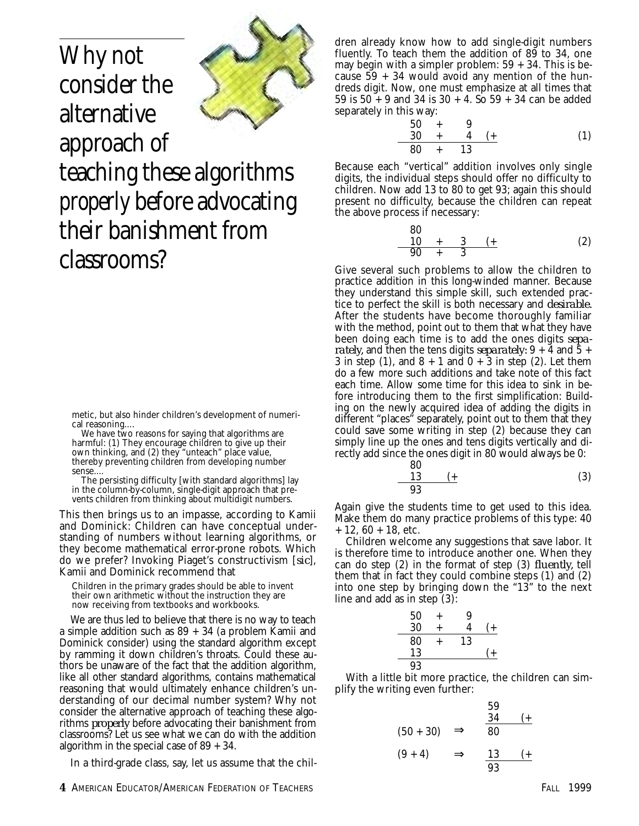Why not consider the alternative approach of teaching these algorithms *properly* before advocating their banishment from classrooms?

metic, but also hinder children's development of numerical reasoning....

We have two reasons for saying that algorithms are harmful: (1) They encourage children to give up their own thinking, and (2) they "unteach" place value, thereby preventing children from developing number sense....

The persisting difficulty [with standard algorithms] lay in the column-by-column, single-digit approach that prevents children from thinking about multidigit numbers.

This then brings us to an impasse, according to Kamii and Dominick: Children can have conceptual understanding of numbers without learning algorithms, or they become mathematical error-prone robots. Which do we prefer? Invoking Piaget's constructivism [*sic*], Kamii and Dominick recommend that

Children in the primary grades should be able to invent their own arithmetic without the instruction they are now receiving from textbooks and workbooks.

We are thus led to believe that there is no way to teach a simple addition such as 89 + 34 (a problem Kamii and Dominick consider) using the standard algorithm except by ramming it down children's throats. Could these authors be unaware of the fact that the addition algorithm, like all other standard algorithms, contains mathematical reasoning that would ultimately enhance children's understanding of our decimal number system? Why not consider the alternative approach of teaching these algorithms *properly* before advocating their banishment from classrooms? Let us see what we can do with the addition algorithm in the special case of 89 + 34.

In a third-grade class, say, let us assume that the chil-

dren already know how to add single-digit numbers fluently. To teach them the addition of 89 to 34, one may begin with a simpler problem:  $59 + 34$ . This is because  $59 + 34$  would avoid any mention of the hundreds digit. Now, one must emphasize at all times that 59 is 50 + 9 and 34 is 30 + 4. So 59 + 34 can be added separately in this way:

$$
\begin{array}{cccc}\n50 & + & 9 \\
30 & + & 4 & (+ \\
\hline\n80 & + & 13\n\end{array}
$$
\n(1)

Because each "vertical" addition involves only single digits, the individual steps should offer no difficulty to children. Now add 13 to 80 to get 93; again this should present no difficulty, because the children can repeat the above process if necessary:

$$
\begin{array}{cccc}\n80 & & & \\
10 & + & 3 & (+ & 2) \\
\hline\n90 & + & 3 & \n\end{array}
$$

Give several such problems to allow the children to practice addition in this long-winded manner. Because they understand this simple skill, such extended practice to perfect the skill is both necessary and *desirable.* After the students have become thoroughly familiar with the method, point out to them that what they have been doing each time is to add the ones digits *separately,* and then the tens digits *separately:*  $9 + 4$  and  $5 +$ 3 in step (1), and  $8 + 1$  and  $0 + 3$  in step (2). Let them do a few more such additions and take note of this fact each time. Allow some time for this idea to sink in before introducing them to the first simplification: Building on the newly acquired idea of adding the digits in different "places" separately, point out to them that they could save some writing in step (2) because they can simply line up the ones and tens digits vertically and directly add since the ones digit in 80 would always be 0:

$$
\begin{array}{c}\n80 \\
13 \quad (+ \quad 03)\n\end{array}
$$

Again give the students time to get used to this idea. Make them do many practice problems of this type: 40  $+ 12, 60 + 18,$  etc.

Children welcome any suggestions that save labor. It is therefore time to introduce another one. When they can do step (2) in the format of step (3) *fluently,* tell them that in fact they could combine steps (1) and (2) into one step by bringing down the "13" to the next line and add as in step (3):

| 50 | + | 9  |        |
|----|---|----|--------|
| 30 | + | 4  | $^{+}$ |
| 80 | + | 13 |        |
| 13 |   |    |        |
| 93 |   |    |        |

With a little bit more practice, the children can simplify the writing even further:

$$
(50+30) \Rightarrow \frac{34}{80} \xrightarrow{(+)} \frac{(+)}{93}
$$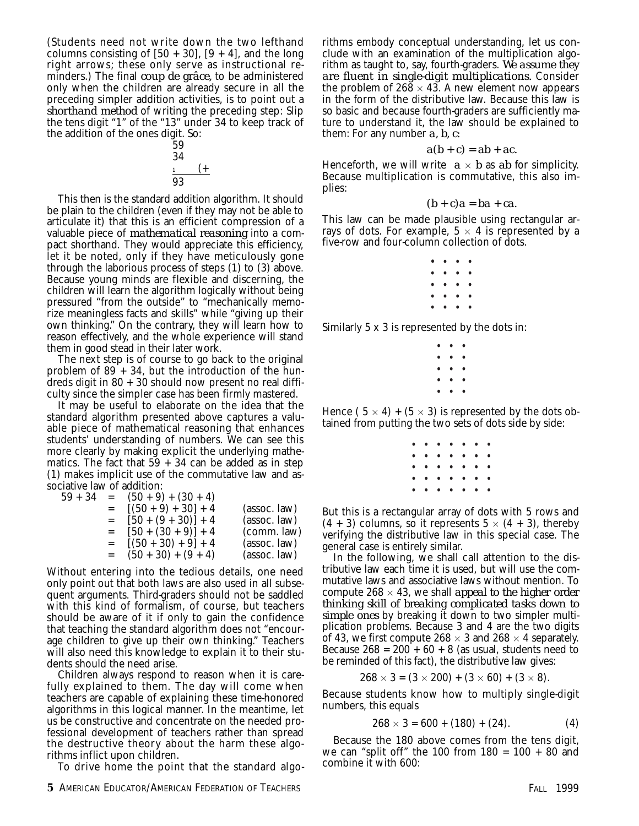(Students need not write down the two lefthand columns consisting of  $[50 + 30]$ ,  $[9 + 4]$ , and the long right arrows; these only serve as instructional reminders.) The final *coup de grâce,* to be administered only when the children are already secure in all the preceding simpler addition activities, is to point out a *shorthand method* of writing the preceding step: Slip the tens digit "1" of the "13" under 34 to keep track of the addition of the ones digit. So:

$$
\begin{array}{c}\n59 \\
34 \\
\frac{1}{93}\n\end{array}\n\quad (\pm
$$

This then is the standard addition algorithm. It should be plain to the children (even if they may not be able to articulate it) that this is an efficient compression of a valuable piece of *mathematical reasoning* into a compact shorthand. They would appreciate this efficiency, let it be noted, only if they have meticulously gone through the laborious process of steps (1) to (3) above. Because young minds are flexible and discerning, the children will learn the algorithm logically without being pressured "from the outside" to "mechanically memorize meaningless facts and skills" while "giving up their own thinking." On the contrary, they will learn how to reason effectively, and the whole experience will stand them in good stead in their later work.

The next step is of course to go back to the original problem of  $89 + 34$ , but the introduction of the hundreds digit in 80 + 30 should now present no real difficulty since the simpler case has been firmly mastered.

It may be useful to elaborate on the idea that the standard algorithm presented above captures a valuable piece of mathematical reasoning that enhances students' understanding of numbers. We can see this more clearly by making explicit the underlying mathematics. The fact that  $59 + 34$  can be added as in step (1) makes implicit use of the commutative law and associative law of addition:

| $59+34$ | $=$ | $(50 + 9) + (30 + 4)$ |              |
|---------|-----|-----------------------|--------------|
|         | $=$ | $[(50 + 9) + 30] + 4$ | (assoc. law) |
|         | $=$ | $[50 + (9 + 30)] + 4$ | (assoc. law) |
|         | $=$ | $[50 + (30 + 9)] + 4$ | (comm. law)  |
|         | $=$ | $[(50 + 30) + 9] + 4$ | (assoc. law) |
|         | $=$ | $(50 + 30) + (9 + 4)$ | (assoc. law) |

Without entering into the tedious details, one need only point out that both laws are also used in all subsequent arguments. Third-graders should not be saddled with this kind of formalism, of course, but teachers should be aware of it if only to gain the confidence that teaching the standard algorithm does not "encourage children to give up their own thinking." Teachers will also need this knowledge to explain it to their students should the need arise.

Children always respond to reason when it is carefully explained to them. The day will come when teachers are capable of explaining these time-honored algorithms in this logical manner. In the meantime, let us be constructive and concentrate on the needed professional development of teachers rather than spread the destructive theory about the harm these algorithms inflict upon children.

To drive home the point that the standard algo-

rithms embody conceptual understanding, let us conclude with an examination of the multiplication algorithm as taught to, say, fourth-graders. *We assume they are fluent in single-digit multiplications.* Consider the problem of  $268 \times 43$ . A new element now appears in the form of the distributive law. Because this law is so basic and because fourth-graders are sufficiently mature to understand it, the law should be explained to them: For any number *a, b, c:*

$$
a(b+c)=ab+ac.
$$

Henceforth, we will write  $a \times b$  as *ab* for simplicity. Because multiplication is commutative, this also implies:

$$
(b + c)a = ba + ca.
$$

This law can be made plausible using rectangular arrays of dots. For example,  $5 \times 4$  is represented by a five-row and four-column collection of dots.

| $\bullet$ | $\bullet$ | $\bullet$ | $\bullet$ |
|-----------|-----------|-----------|-----------|
| $\bullet$ | $\bullet$ | $\bullet$ | $\bullet$ |
| $\bullet$ | $\bullet$ | $\bullet$ | $\bullet$ |
| $\bullet$ | $\bullet$ | $\bullet$ | $\bullet$ |
| $\bullet$ | $\bullet$ | $\bullet$ | $\bullet$ |

Similarly 5 x 3 is represented by the dots in:

| ۰         | ٠         | $\bullet$ |
|-----------|-----------|-----------|
| $\bullet$ | $\bullet$ | $\bullet$ |
| $\bullet$ | $\bullet$ | $\bullet$ |
| $\bullet$ | $\bullet$ | $\bullet$ |
| $\bullet$ | $\bullet$ | $\bullet$ |

Hence  $(5 \times 4) + (5 \times 3)$  is represented by the dots obtained from putting the two sets of dots side by side:

| ٠         | $\bullet$ | $\bullet$ | $\bullet$ | $\bullet$ | $\bullet$ | $\bullet$ |
|-----------|-----------|-----------|-----------|-----------|-----------|-----------|
| $\bullet$ | $\bullet$ | $\bullet$ | $\bullet$ | $\bullet$ | $\bullet$ | $\bullet$ |
| $\bullet$ | $\bullet$ | $\bullet$ | $\bullet$ | $\bullet$ | $\bullet$ | $\bullet$ |
| $\bullet$ | $\bullet$ | ٠         | $\bullet$ | $\bullet$ | $\bullet$ | $\bullet$ |
| ٠         | $\bullet$ | $\bullet$ | $\bullet$ | $\bullet$ | $\bullet$ | $\bullet$ |

But this is a rectangular array of dots with 5 rows and  $(4 + 3)$  columns, so it represents  $5 \times (4 + 3)$ , thereby verifying the distributive law in this special case. The general case is entirely similar.

In the following, we shall call attention to the distributive law each time it is used, but will use the commutative laws and associative laws without mention. To compute  $268 \times 43$ , we shall *appeal to the higher order thinking skill of breaking complicated tasks down to simple ones* by breaking it down to two simpler multiplication problems. Because 3 and 4 are the two digits of 43, we first compute  $268 \times 3$  and  $268 \times 4$  separately. Because  $268 = 200 + 60 + 8$  (as usual, students need to be reminded of this fact), the distributive law gives:

$$
268 \times 3 = (3 \times 200) + (3 \times 60) + (3 \times 8).
$$

Because students know how to multiply single-digit numbers, this equals

$$
268 \times 3 = 600 + (180) + (24). \tag{4}
$$

Because the 180 above comes from the tens digit, we can "split off" the 100 from  $180 = 100 + 80$  and combine it with 600: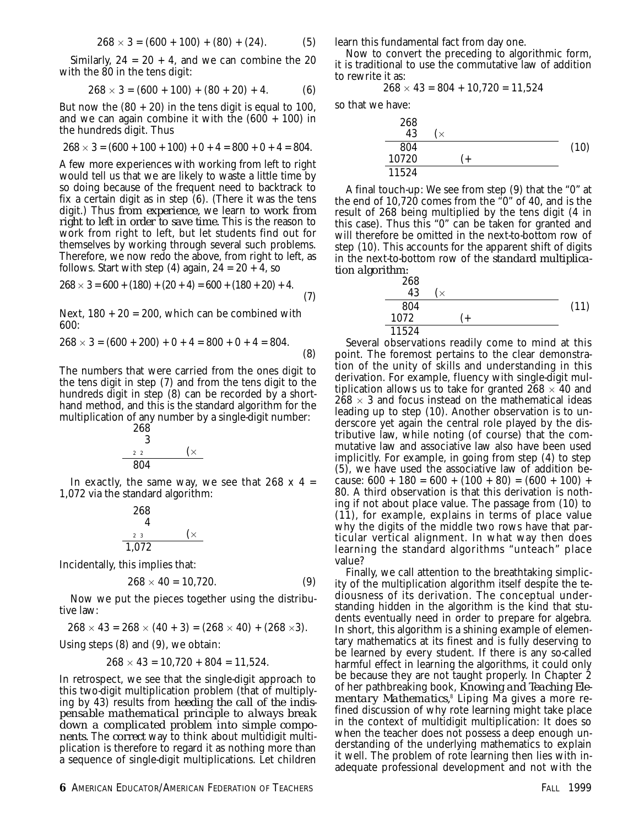$$
268 \times 3 = (600 + 100) + (80) + (24). \tag{5}
$$

Similarly,  $24 = 20 + 4$ , and we can combine the 20 with the 80 in the tens digit:

$$
268 \times 3 = (600 + 100) + (80 + 20) + 4. \tag{6}
$$

But now the  $(80 + 20)$  in the tens digit is equal to 100, and we can again combine it with the  $(600 + 100)$  in the hundreds digit. Thus

$$
268 \times 3 = (600 + 100 + 100) + 0 + 4 = 800 + 0 + 4 = 804.
$$

A few more experiences with working from left to right would tell us that we are likely to waste a little time by so doing because of the frequent need to backtrack to fix a certain digit as in step (6). (There it was the tens digit.) Thus *from experience,* we learn *to work from right to left in order to save time.* This is the reason to work from right to left, but let students find out for themselves by working through several such problems. Therefore, we now redo the above, from right to left, as follows. Start with step (4) again,  $24 = 20 + 4$ , so

$$
268 \times 3 = 600 + (180) + (20 + 4) = 600 + (180 + 20) + 4. \tag{7}
$$

Next,  $180 + 20 = 200$ , which can be combined with 600:

$$
268 \times 3 = (600 + 200) + 0 + 4 = 800 + 0 + 4 = 804.
$$
 (8)

The numbers that were carried from the ones digit to the tens digit in step (7) and from the tens digit to the hundreds digit in step (8) can be recorded by a shorthand method, and this is the standard algorithm for the multiplication of any number by a single-digit number: 268

$$
\begin{array}{c}\n 3 \\
 \hline\n 3 \\
 \hline\n 22 \\
 \hline\n 804\n \end{array}
$$

In exactly, the same way, we see that  $268 \times 4 =$ 1,072 via the standard algorithm:

$$
\begin{array}{c}\n 268 \\
 \hline\n 4 \\
 \underline{2 \quad 3} \\
 1,072\n \end{array}
$$
 (×

Incidentally, this implies that:

$$
268 \times 40 = 10{,}720. \tag{9}
$$

Now we put the pieces together using the distributive law:

 $268 \times 43 = 268 \times (40 + 3) = (268 \times 40) + (268 \times 3).$ 

Using steps (8) and (9), we obtain:

 $268 \times 43 = 10,720 + 804 = 11,524.$ 

In retrospect, we see that the single-digit approach to this two-digit multiplication problem (that of multiplying by 43) results from *heeding the call of the indispensable mathematical principle to always break down a complicated problem into simple components.* The *correct* way to think about multidigit multiplication is therefore to regard it as nothing more than a sequence of single-digit multiplications. Let children

learn this fundamental fact from day one.

Now to convert the preceding to algorithmic form, it is traditional to use the commutative law of addition to rewrite it as:

$$
268 \times 43 = 804 + 10,720 = 11,524
$$

so that we have:

$$
\begin{array}{c|cc}\n268 & & \\
43 & (\times & & \\
\hline\n804 & & & \\
\hline\n10720 & (+ & & \\
\hline\n11524 & & & \\
\end{array}
$$
 (10)

A final touch-up: We see from step (9) that the "0" at the end of 10,720 comes from the "0" of 40, and is the result of 268 being multiplied by the tens digit (4 in this case). Thus this "0" can be taken for granted and will therefore be omitted in the next-to-bottom row of step (10). This accounts for the apparent shift of digits in the next-to-bottom row of the *standard multiplication algorithm:*

$$
\begin{array}{c|cc}\n268 & & & \\
43 & (\times & & & \\
\hline\n804 & & & & \\
\hline\n1072 & & (+ & & & \\
\hline\n11524 & & & & & \\
\end{array}
$$
 (11)

Several observations readily come to mind at this point. The foremost pertains to the clear demonstration of the unity of skills and understanding in this derivation. For example, fluency with single-digit multiplication allows us to take for granted  $268 \times 40$  and  $268 \times 3$  and focus instead on the mathematical ideas leading up to step (10). Another observation is to underscore yet again the central role played by the distributive law, while noting (of course) that the commutative law and associative law also have been used implicitly. For example, in going from step (4) to step (5), we have used the associative law of addition because:  $600 + 180 = 600 + (100 + 80) = (600 + 100) +$ 80. A third observation is that this derivation is nothing if not about place value. The passage from (10) to (11), for example, explains in terms of place value why the digits of the middle two rows have that particular vertical alignment. In what way then does learning the standard algorithms "unteach" place value?

Finally, we call attention to the breathtaking simplicity of the multiplication algorithm itself despite the tediousness of its derivation. The conceptual understanding hidden in the algorithm is the kind that students eventually need in order to prepare for algebra. In short, this algorithm is a shining example of elementary mathematics at its finest and is fully deserving to be learned by every student. If there is any so-called harmful effect in learning the algorithms, it could only be because they are not taught properly. In Chapter 2 of her pathbreaking book, *Knowing and Teaching Elementary Mathematics,*<sup>8</sup> Liping Ma gives a more refined discussion of why rote learning might take place in the context of multidigit multiplication: It does so when the teacher does not possess a deep enough understanding of the underlying mathematics to explain it well. The problem of rote learning then lies with inadequate professional development and not with the